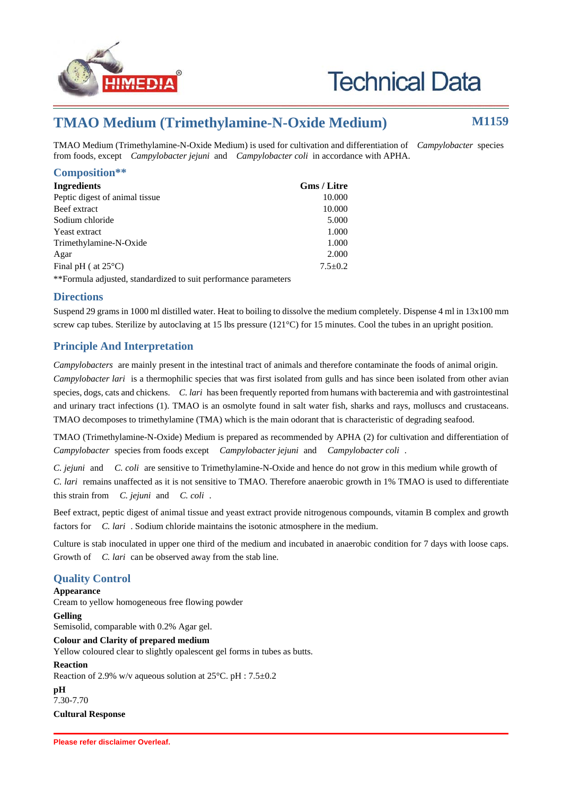

# **Technical Data**

## **TMAO Medium (Trimethylamine-N-Oxide Medium) M1159**

TMAO Medium (Trimethylamine-N-Oxide Medium) is used for cultivation and differentiation of *Campylobacter* species from foods, except *Campylobacter jejuni* and *Campylobacter coli* in accordance with APHA.

#### **Composition\*\***

| <b>Ingredients</b>              | <b>Gms / Litre</b> |
|---------------------------------|--------------------|
| Peptic digest of animal tissue. | 10.000             |
| Beef extract                    | 10.000             |
| Sodium chloride                 | 5.000              |
| Yeast extract                   | 1.000              |
| Trimethylamine-N-Oxide          | 1.000              |
| Agar                            | 2.000              |
| Final pH ( at $25^{\circ}$ C)   | $7.5+0.2$          |
|                                 |                    |

\*\*Formula adjusted, standardized to suit performance parameters

#### **Directions**

Suspend 29 grams in 1000 ml distilled water. Heat to boiling to dissolve the medium completely. Dispense 4 ml in 13x100 mm screw cap tubes. Sterilize by autoclaving at 15 lbs pressure (121°C) for 15 minutes. Cool the tubes in an upright position.

### **Principle And Interpretation**

*Campylobacters* are mainly present in the intestinal tract of animals and therefore contaminate the foods of animal origin. *Campylobacter lari* is a thermophilic species that was first isolated from gulls and has since been isolated from other avian species, dogs, cats and chickens. *C. lari* has been frequently reported from humans with bacteremia and with gastrointestinal and urinary tract infections (1). TMAO is an osmolyte found in salt water fish, sharks and rays, molluscs and crustaceans. TMAO decomposes to trimethylamine (TMA) which is the main odorant that is characteristic of degrading seafood.

TMAO (Trimethylamine-N-Oxide) Medium is prepared as recommended by APHA (2) for cultivation and differentiation of *Campylobacter* species from foods except *Campylobacter jejuni* and *Campylobacter coli* .

*C. jejuni* and *C. coli* are sensitive to Trimethylamine-N-Oxide and hence do not grow in this medium while growth of *C. lari* remains unaffected as it is not sensitive to TMAO. Therefore anaerobic growth in 1% TMAO is used to differentiate this strain from *C. jejuni* and *C. coli* .

Beef extract, peptic digest of animal tissue and yeast extract provide nitrogenous compounds, vitamin B complex and growth factors for *C. lari* . Sodium chloride maintains the isotonic atmosphere in the medium.

Culture is stab inoculated in upper one third of the medium and incubated in anaerobic condition for 7 days with loose caps. Growth of *C. lari* can be observed away from the stab line.

#### **Quality Control**

**Appearance**

Cream to yellow homogeneous free flowing powder

**Gelling**

Semisolid, comparable with 0.2% Agar gel.

**Colour and Clarity of prepared medium**

Yellow coloured clear to slightly opalescent gel forms in tubes as butts.

#### **Reaction**

Reaction of 2.9% w/v aqueous solution at 25°C. pH : 7.5±0.2

**pH**

7.30-7.70

**Cultural Response**